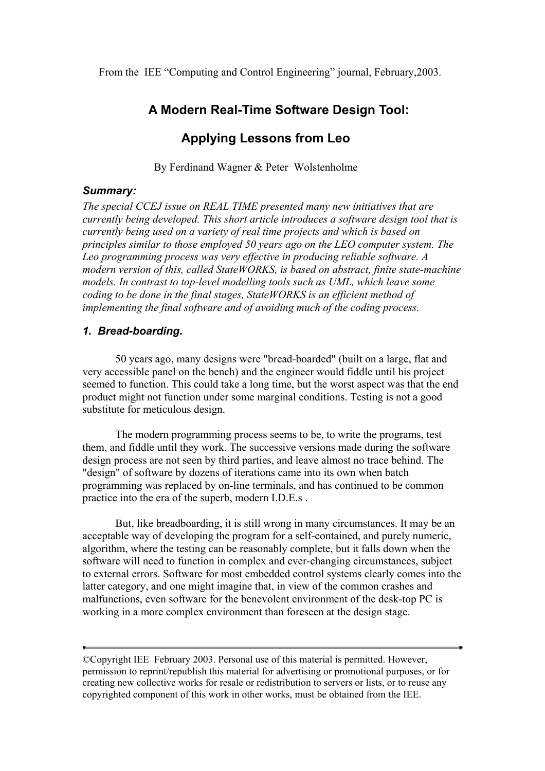From the IEE "Computing and Control Engineering" journal, February,2003.

# **A Modern Real-Time Software Design Tool:**

# **Applying Lessons from Leo**

By Ferdinand Wagner & Peter Wolstenholme

#### *Summary:*

*The special CCEJ issue on REAL TIME presented many new initiatives that are currently being developed. This short article introduces a software design tool that is currently being used on a variety of real time projects and which is based on principles similar to those employed 50 years ago on the LEO computer system. The Leo programming process was very effective in producing reliable software. A modern version of this, called StateWORKS, is based on abstract, finite state-machine models. In contrast to top-level modelling tools such as UML, which leave some coding to be done in the final stages, StateWORKS is an efficient method of implementing the final software and of avoiding much of the coding process.* 

# *1. Bread-boarding.*

50 years ago, many designs were "bread-boarded" (built on a large, flat and very accessible panel on the bench) and the engineer would fiddle until his project seemed to function. This could take a long time, but the worst aspect was that the end product might not function under some marginal conditions. Testing is not a good substitute for meticulous design.

The modern programming process seems to be, to write the programs, test them, and fiddle until they work. The successive versions made during the software design process are not seen by third parties, and leave almost no trace behind. The "design" of software by dozens of iterations came into its own when batch programming was replaced by on-line terminals, and has continued to be common practice into the era of the superb, modern I.D.E.s .

But, like breadboarding, it is still wrong in many circumstances. It may be an acceptable way of developing the program for a self-contained, and purely numeric, algorithm, where the testing can be reasonably complete, but it falls down when the software will need to function in complex and ever-changing circumstances, subject to external errors. Software for most embedded control systems clearly comes into the latter category, and one might imagine that, in view of the common crashes and malfunctions, even software for the benevolent environment of the desk-top PC is working in a more complex environment than foreseen at the design stage.

<sup>©</sup>Copyright IEE February 2003. Personal use of this material is permitted. However, permission to reprint/republish this material for advertising or promotional purposes, or for creating new collective works for resale or redistribution to servers or lists, or to reuse any copyrighted component of this work in other works, must be obtained from the IEE.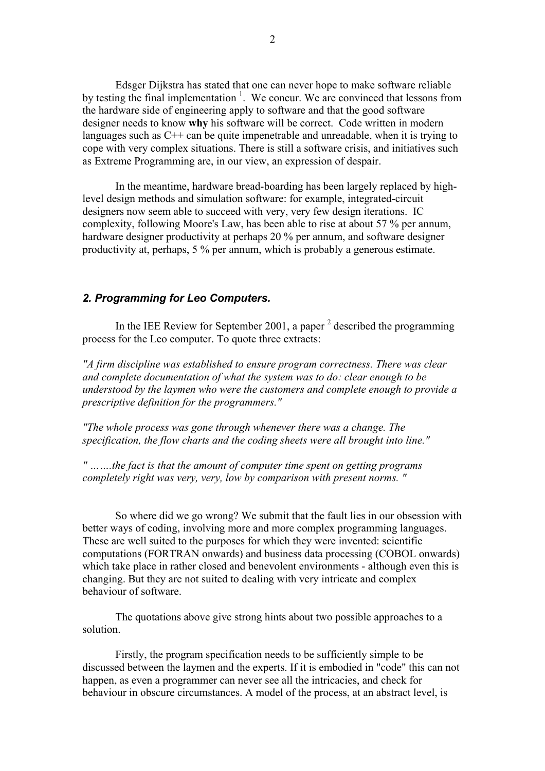Edsger Dijkstra has stated that one can never hope to make software reliable by testing the final implementation  $1$ . We concur. We are convinced that lessons from the hardware side of engineering apply to software and that the good software designer needs to know **why** his software will be correct. Code written in modern languages such as C++ can be quite impenetrable and unreadable, when it is trying to cope with very complex situations. There is still a software crisis, and initiatives such as Extreme Programming are, in our view, an expression of despair.

In the meantime, hardware bread-boarding has been largely replaced by highlevel design methods and simulation software: for example, integrated-circuit designers now seem able to succeed with very, very few design iterations. IC complexity, following Moore's Law, has been able to rise at about 57 % per annum, hardware designer productivity at perhaps 20 % per annum, and software designer productivity at, perhaps, 5 % per annum, which is probably a generous estimate.

# *2. Programming for Leo Computers.*

In the IEE Review for September 2001, a paper  $2$  described the programming process for the Leo computer. To quote three extracts:

*"A firm discipline was established to ensure program correctness. There was clear and complete documentation of what the system was to do: clear enough to be understood by the laymen who were the customers and complete enough to provide a prescriptive definition for the programmers."* 

*"The whole process was gone through whenever there was a change. The specification, the flow charts and the coding sheets were all brought into line."* 

*" …….the fact is that the amount of computer time spent on getting programs completely right was very, very, low by comparison with present norms. "* 

So where did we go wrong? We submit that the fault lies in our obsession with better ways of coding, involving more and more complex programming languages. These are well suited to the purposes for which they were invented: scientific computations (FORTRAN onwards) and business data processing (COBOL onwards) which take place in rather closed and benevolent environments - although even this is changing. But they are not suited to dealing with very intricate and complex behaviour of software.

The quotations above give strong hints about two possible approaches to a solution.

Firstly, the program specification needs to be sufficiently simple to be discussed between the laymen and the experts. If it is embodied in "code" this can not happen, as even a programmer can never see all the intricacies, and check for behaviour in obscure circumstances. A model of the process, at an abstract level, is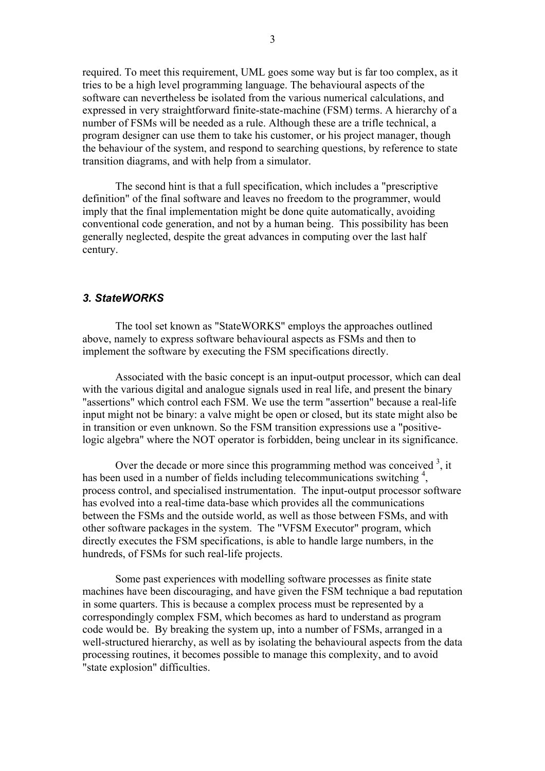required. To meet this requirement, UML goes some way but is far too complex, as it tries to be a high level programming language. The behavioural aspects of the software can nevertheless be isolated from the various numerical calculations, and expressed in very straightforward finite-state-machine (FSM) terms. A hierarchy of a number of FSMs will be needed as a rule. Although these are a trifle technical, a program designer can use them to take his customer, or his project manager, though the behaviour of the system, and respond to searching questions, by reference to state transition diagrams, and with help from a simulator.

The second hint is that a full specification, which includes a "prescriptive definition" of the final software and leaves no freedom to the programmer, would imply that the final implementation might be done quite automatically, avoiding conventional code generation, and not by a human being. This possibility has been generally neglected, despite the great advances in computing over the last half century.

# *3. StateWORKS*

The tool set known as "StateWORKS" employs the approaches outlined above, namely to express software behavioural aspects as FSMs and then to implement the software by executing the FSM specifications directly.

Associated with the basic concept is an input-output processor, which can deal with the various digital and analogue signals used in real life, and present the binary "assertions" which control each FSM. We use the term "assertion" because a real-life input might not be binary: a valve might be open or closed, but its state might also be in transition or even unknown. So the FSM transition expressions use a "positivelogic algebra" where the NOT operator is forbidden, being unclear in its significance.

Over the decade or more since this programming method was conceived  $3$ , it has been used in a number of fields including telecommunications switching<sup>4</sup>, process control, and specialised instrumentation. The input-output processor software has evolved into a real-time data-base which provides all the communications between the FSMs and the outside world, as well as those between FSMs, and with other software packages in the system. The "VFSM Executor" program, which directly executes the FSM specifications, is able to handle large numbers, in the hundreds, of FSMs for such real-life projects.

Some past experiences with modelling software processes as finite state machines have been discouraging, and have given the FSM technique a bad reputation in some quarters. This is because a complex process must be represented by a correspondingly complex FSM, which becomes as hard to understand as program code would be. By breaking the system up, into a number of FSMs, arranged in a well-structured hierarchy, as well as by isolating the behavioural aspects from the data processing routines, it becomes possible to manage this complexity, and to avoid "state explosion" difficulties.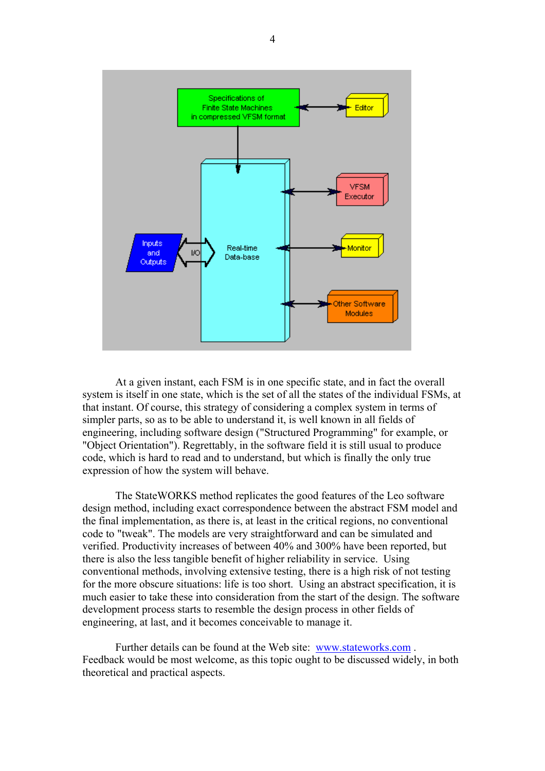

At a given instant, each FSM is in one specific state, and in fact the overall system is itself in one state, which is the set of all the states of the individual FSMs, at that instant. Of course, this strategy of considering a complex system in terms of simpler parts, so as to be able to understand it, is well known in all fields of engineering, including software design ("Structured Programming" for example, or "Object Orientation"). Regrettably, in the software field it is still usual to produce code, which is hard to read and to understand, but which is finally the only true expression of how the system will behave.

The StateWORKS method replicates the good features of the Leo software design method, including exact correspondence between the abstract FSM model and the final implementation, as there is, at least in the critical regions, no conventional code to "tweak". The models are very straightforward and can be simulated and verified. Productivity increases of between 40% and 300% have been reported, but there is also the less tangible benefit of higher reliability in service. Using conventional methods, involving extensive testing, there is a high risk of not testing for the more obscure situations: life is too short. Using an abstract specification, it is much easier to take these into consideration from the start of the design. The software development process starts to resemble the design process in other fields of engineering, at last, and it becomes conceivable to manage it.

Further details can be found at the Web site: www.stateworks.com. Feedback would be most welcome, as this topic ought to be discussed widely, in both theoretical and practical aspects.